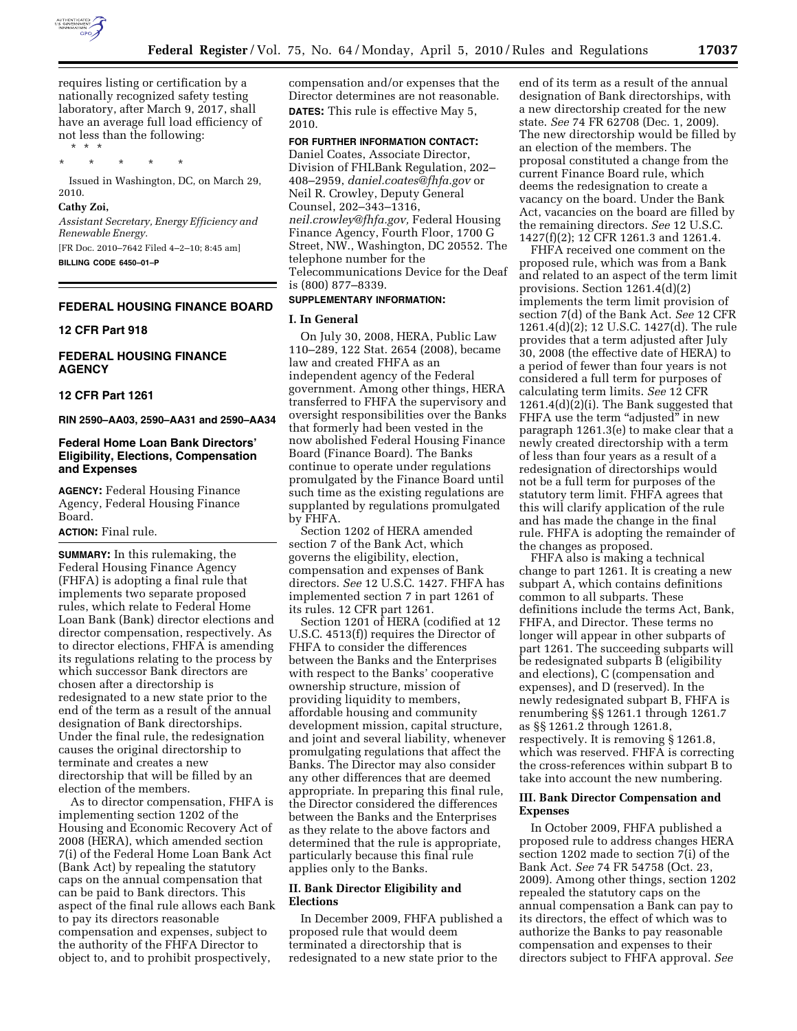

requires listing or certification by a nationally recognized safety testing laboratory, after March 9, 2017, shall have an average full load efficiency of not less than the following: \* \* \*

\* \* \* \* \*

Issued in Washington, DC, on March 29, 2010.

#### **Cathy Zoi,**

*Assistant Secretary, Energy Efficiency and Renewable Energy.*  [FR Doc. 2010–7642 Filed 4–2–10; 8:45 am]

**BILLING CODE 6450–01–P** 

# **FEDERAL HOUSING FINANCE BOARD**

#### **12 CFR Part 918**

# **FEDERAL HOUSING FINANCE AGENCY**

# **12 CFR Part 1261**

**RIN 2590–AA03, 2590–AA31 and 2590–AA34** 

# **Federal Home Loan Bank Directors' Eligibility, Elections, Compensation and Expenses**

**AGENCY:** Federal Housing Finance Agency, Federal Housing Finance Board.

#### **ACTION:** Final rule.

**SUMMARY:** In this rulemaking, the Federal Housing Finance Agency (FHFA) is adopting a final rule that implements two separate proposed rules, which relate to Federal Home Loan Bank (Bank) director elections and director compensation, respectively. As to director elections, FHFA is amending its regulations relating to the process by which successor Bank directors are chosen after a directorship is redesignated to a new state prior to the end of the term as a result of the annual designation of Bank directorships. Under the final rule, the redesignation causes the original directorship to terminate and creates a new directorship that will be filled by an election of the members.

As to director compensation, FHFA is implementing section 1202 of the Housing and Economic Recovery Act of 2008 (HERA), which amended section 7(i) of the Federal Home Loan Bank Act (Bank Act) by repealing the statutory caps on the annual compensation that can be paid to Bank directors. This aspect of the final rule allows each Bank to pay its directors reasonable compensation and expenses, subject to the authority of the FHFA Director to object to, and to prohibit prospectively,

compensation and/or expenses that the Director determines are not reasonable. **DATES:** This rule is effective May 5, 2010.

**FOR FURTHER INFORMATION CONTACT:**  Daniel Coates, Associate Director, Division of FHLBank Regulation, 202– 408–2959, *daniel.coates@fhfa.gov* or Neil R. Crowley, Deputy General Counsel, 202–343–1316, *neil.crowley@fhfa.gov,* Federal Housing Finance Agency, Fourth Floor, 1700 G Street, NW., Washington, DC 20552. The telephone number for the Telecommunications Device for the Deaf is (800) 877–8339.

# **SUPPLEMENTARY INFORMATION:**

# **I. In General**

On July 30, 2008, HERA, Public Law 110–289, 122 Stat. 2654 (2008), became law and created FHFA as an independent agency of the Federal government. Among other things, HERA transferred to FHFA the supervisory and oversight responsibilities over the Banks that formerly had been vested in the now abolished Federal Housing Finance Board (Finance Board). The Banks continue to operate under regulations promulgated by the Finance Board until such time as the existing regulations are supplanted by regulations promulgated by FHFA.

Section 1202 of HERA amended section 7 of the Bank Act, which governs the eligibility, election, compensation and expenses of Bank directors. *See* 12 U.S.C. 1427. FHFA has implemented section 7 in part 1261 of its rules. 12 CFR part 1261.

Section 1201 of HERA (codified at 12 U.S.C. 4513(f)) requires the Director of FHFA to consider the differences between the Banks and the Enterprises with respect to the Banks' cooperative ownership structure, mission of providing liquidity to members, affordable housing and community development mission, capital structure, and joint and several liability, whenever promulgating regulations that affect the Banks. The Director may also consider any other differences that are deemed appropriate. In preparing this final rule, the Director considered the differences between the Banks and the Enterprises as they relate to the above factors and determined that the rule is appropriate, particularly because this final rule applies only to the Banks.

# **II. Bank Director Eligibility and Elections**

In December 2009, FHFA published a proposed rule that would deem terminated a directorship that is redesignated to a new state prior to the

end of its term as a result of the annual designation of Bank directorships, with a new directorship created for the new state. *See* 74 FR 62708 (Dec. 1, 2009). The new directorship would be filled by an election of the members. The proposal constituted a change from the current Finance Board rule, which deems the redesignation to create a vacancy on the board. Under the Bank Act, vacancies on the board are filled by the remaining directors. *See* 12 U.S.C. 1427(f)(2); 12 CFR 1261.3 and 1261.4.

FHFA received one comment on the proposed rule, which was from a Bank and related to an aspect of the term limit provisions. Section 1261.4(d)(2) implements the term limit provision of section 7(d) of the Bank Act. *See* 12 CFR 1261.4(d)(2); 12 U.S.C. 1427(d). The rule provides that a term adjusted after July 30, 2008 (the effective date of HERA) to a period of fewer than four years is not considered a full term for purposes of calculating term limits. *See* 12 CFR 1261.4(d)(2)(i). The Bank suggested that FHFA use the term "adjusted" in new paragraph 1261.3(e) to make clear that a newly created directorship with a term of less than four years as a result of a redesignation of directorships would not be a full term for purposes of the statutory term limit. FHFA agrees that this will clarify application of the rule and has made the change in the final rule. FHFA is adopting the remainder of the changes as proposed.

FHFA also is making a technical change to part 1261. It is creating a new subpart A, which contains definitions common to all subparts. These definitions include the terms Act, Bank, FHFA, and Director. These terms no longer will appear in other subparts of part 1261. The succeeding subparts will be redesignated subparts B (eligibility and elections), C (compensation and expenses), and D (reserved). In the newly redesignated subpart B, FHFA is renumbering §§ 1261.1 through 1261.7 as §§ 1261.2 through 1261.8, respectively. It is removing § 1261.8, which was reserved. FHFA is correcting the cross-references within subpart B to take into account the new numbering.

#### **III. Bank Director Compensation and Expenses**

In October 2009, FHFA published a proposed rule to address changes HERA section 1202 made to section 7(i) of the Bank Act. *See* 74 FR 54758 (Oct. 23, 2009). Among other things, section 1202 repealed the statutory caps on the annual compensation a Bank can pay to its directors, the effect of which was to authorize the Banks to pay reasonable compensation and expenses to their directors subject to FHFA approval. *See*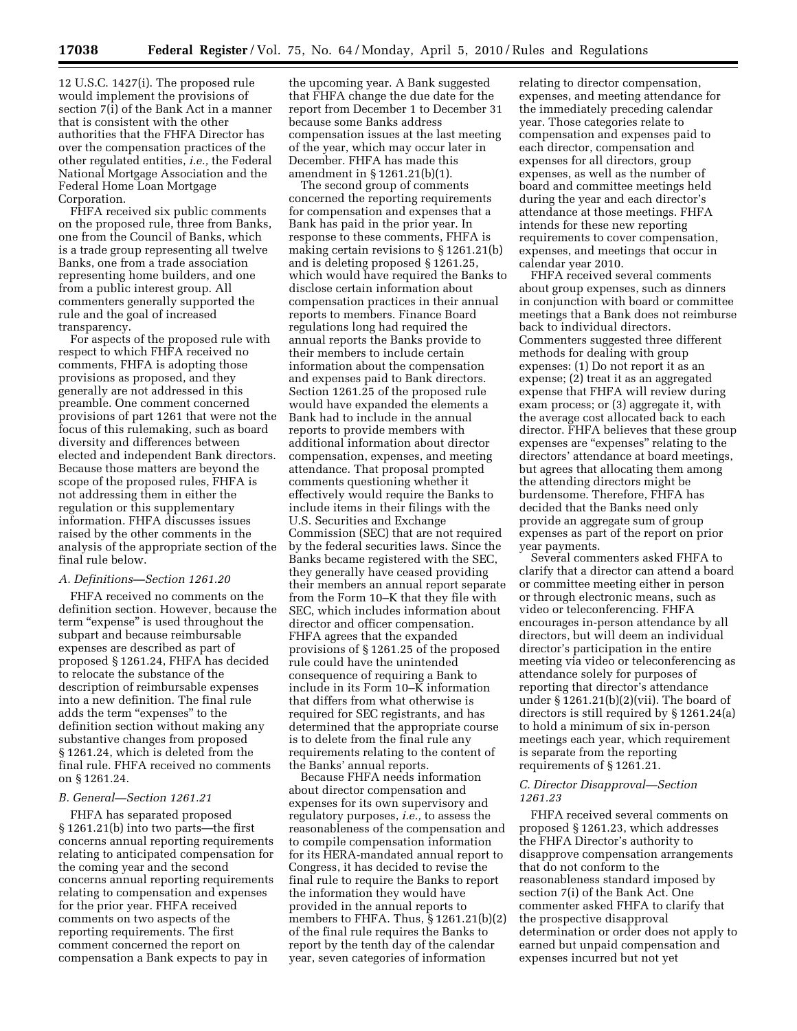12 U.S.C. 1427(i). The proposed rule would implement the provisions of section 7(i) of the Bank Act in a manner that is consistent with the other authorities that the FHFA Director has over the compensation practices of the other regulated entities, *i.e.,* the Federal National Mortgage Association and the Federal Home Loan Mortgage Corporation.

FHFA received six public comments on the proposed rule, three from Banks, one from the Council of Banks, which is a trade group representing all twelve Banks, one from a trade association representing home builders, and one from a public interest group. All commenters generally supported the rule and the goal of increased transparency.

For aspects of the proposed rule with respect to which FHFA received no comments, FHFA is adopting those provisions as proposed, and they generally are not addressed in this preamble. One comment concerned provisions of part 1261 that were not the focus of this rulemaking, such as board diversity and differences between elected and independent Bank directors. Because those matters are beyond the scope of the proposed rules, FHFA is not addressing them in either the regulation or this supplementary information. FHFA discusses issues raised by the other comments in the analysis of the appropriate section of the final rule below.

#### *A. Definitions—Section 1261.20*

FHFA received no comments on the definition section. However, because the term "expense" is used throughout the subpart and because reimbursable expenses are described as part of proposed § 1261.24, FHFA has decided to relocate the substance of the description of reimbursable expenses into a new definition. The final rule adds the term "expenses" to the definition section without making any substantive changes from proposed § 1261.24, which is deleted from the final rule. FHFA received no comments on § 1261.24.

#### *B. General—Section 1261.21*

FHFA has separated proposed § 1261.21(b) into two parts—the first concerns annual reporting requirements relating to anticipated compensation for the coming year and the second concerns annual reporting requirements relating to compensation and expenses for the prior year. FHFA received comments on two aspects of the reporting requirements. The first comment concerned the report on compensation a Bank expects to pay in

the upcoming year. A Bank suggested that FHFA change the due date for the report from December 1 to December 31 because some Banks address compensation issues at the last meeting of the year, which may occur later in December. FHFA has made this amendment in § 1261.21(b)(1).

The second group of comments concerned the reporting requirements for compensation and expenses that a Bank has paid in the prior year. In response to these comments, FHFA is making certain revisions to § 1261.21(b) and is deleting proposed § 1261.25, which would have required the Banks to disclose certain information about compensation practices in their annual reports to members. Finance Board regulations long had required the annual reports the Banks provide to their members to include certain information about the compensation and expenses paid to Bank directors. Section 1261.25 of the proposed rule would have expanded the elements a Bank had to include in the annual reports to provide members with additional information about director compensation, expenses, and meeting attendance. That proposal prompted comments questioning whether it effectively would require the Banks to include items in their filings with the U.S. Securities and Exchange Commission (SEC) that are not required by the federal securities laws. Since the Banks became registered with the SEC, they generally have ceased providing their members an annual report separate from the Form 10–K that they file with SEC, which includes information about director and officer compensation. FHFA agrees that the expanded provisions of § 1261.25 of the proposed rule could have the unintended consequence of requiring a Bank to include in its Form 10–K information that differs from what otherwise is required for SEC registrants, and has determined that the appropriate course is to delete from the final rule any requirements relating to the content of the Banks' annual reports.

Because FHFA needs information about director compensation and expenses for its own supervisory and regulatory purposes, *i.e.,* to assess the reasonableness of the compensation and to compile compensation information for its HERA-mandated annual report to Congress, it has decided to revise the final rule to require the Banks to report the information they would have provided in the annual reports to members to FHFA. Thus, § 1261.21(b)(2) of the final rule requires the Banks to report by the tenth day of the calendar year, seven categories of information

relating to director compensation, expenses, and meeting attendance for the immediately preceding calendar year. Those categories relate to compensation and expenses paid to each director, compensation and expenses for all directors, group expenses, as well as the number of board and committee meetings held during the year and each director's attendance at those meetings. FHFA intends for these new reporting requirements to cover compensation, expenses, and meetings that occur in calendar year 2010.

FHFA received several comments about group expenses, such as dinners in conjunction with board or committee meetings that a Bank does not reimburse back to individual directors. Commenters suggested three different methods for dealing with group expenses: (1) Do not report it as an expense; (2) treat it as an aggregated expense that FHFA will review during exam process; or (3) aggregate it, with the average cost allocated back to each director. FHFA believes that these group expenses are "expenses" relating to the directors' attendance at board meetings, but agrees that allocating them among the attending directors might be burdensome. Therefore, FHFA has decided that the Banks need only provide an aggregate sum of group expenses as part of the report on prior year payments.

Several commenters asked FHFA to clarify that a director can attend a board or committee meeting either in person or through electronic means, such as video or teleconferencing. FHFA encourages in-person attendance by all directors, but will deem an individual director's participation in the entire meeting via video or teleconferencing as attendance solely for purposes of reporting that director's attendance under § 1261.21(b)(2)(vii). The board of directors is still required by § 1261.24(a) to hold a minimum of six in-person meetings each year, which requirement is separate from the reporting requirements of § 1261.21.

### *C. Director Disapproval—Section 1261.23*

FHFA received several comments on proposed § 1261.23, which addresses the FHFA Director's authority to disapprove compensation arrangements that do not conform to the reasonableness standard imposed by section 7(i) of the Bank Act. One commenter asked FHFA to clarify that the prospective disapproval determination or order does not apply to earned but unpaid compensation and expenses incurred but not yet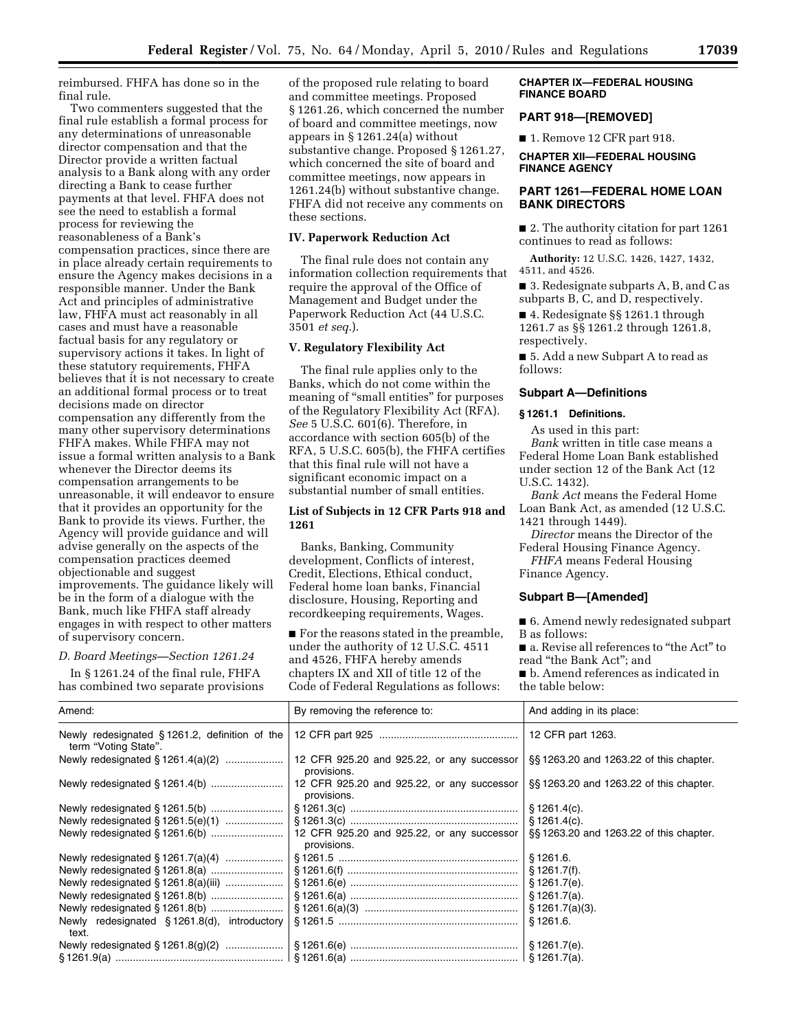reimbursed. FHFA has done so in the final rule.

Two commenters suggested that the final rule establish a formal process for any determinations of unreasonable director compensation and that the Director provide a written factual analysis to a Bank along with any order directing a Bank to cease further payments at that level. FHFA does not see the need to establish a formal process for reviewing the reasonableness of a Bank's compensation practices, since there are in place already certain requirements to ensure the Agency makes decisions in a responsible manner. Under the Bank Act and principles of administrative law, FHFA must act reasonably in all cases and must have a reasonable factual basis for any regulatory or supervisory actions it takes. In light of these statutory requirements, FHFA believes that it is not necessary to create an additional formal process or to treat decisions made on director compensation any differently from the many other supervisory determinations FHFA makes. While FHFA may not issue a formal written analysis to a Bank whenever the Director deems its compensation arrangements to be unreasonable, it will endeavor to ensure that it provides an opportunity for the Bank to provide its views. Further, the Agency will provide guidance and will advise generally on the aspects of the compensation practices deemed objectionable and suggest improvements. The guidance likely will be in the form of a dialogue with the Bank, much like FHFA staff already engages in with respect to other matters of supervisory concern.

#### *D. Board Meetings—Section 1261.24*

In § 1261.24 of the final rule, FHFA has combined two separate provisions of the proposed rule relating to board and committee meetings. Proposed § 1261.26, which concerned the number of board and committee meetings, now appears in § 1261.24(a) without substantive change. Proposed § 1261.27, which concerned the site of board and committee meetings, now appears in 1261.24(b) without substantive change. FHFA did not receive any comments on these sections.

# **IV. Paperwork Reduction Act**

The final rule does not contain any information collection requirements that require the approval of the Office of Management and Budget under the Paperwork Reduction Act (44 U.S.C. 3501 *et seq.*).

### **V. Regulatory Flexibility Act**

The final rule applies only to the Banks, which do not come within the meaning of "small entities" for purposes of the Regulatory Flexibility Act (RFA). *See* 5 U.S.C. 601(6). Therefore, in accordance with section 605(b) of the RFA, 5 U.S.C. 605(b), the FHFA certifies that this final rule will not have a significant economic impact on a substantial number of small entities.

# **List of Subjects in 12 CFR Parts 918 and 1261**

Banks, Banking, Community development, Conflicts of interest, Credit, Elections, Ethical conduct, Federal home loan banks, Financial disclosure, Housing, Reporting and recordkeeping requirements, Wages.

■ For the reasons stated in the preamble, under the authority of 12 U.S.C. 4511 and 4526, FHFA hereby amends chapters IX and XII of title 12 of the Code of Federal Regulations as follows:

#### **CHAPTER IX—FEDERAL HOUSING FINANCE BOARD**

### **PART 918—[REMOVED]**

■ 1. Remove 12 CFR part 918.

# **CHAPTER XII—FEDERAL HOUSING FINANCE AGENCY**

# **PART 1261—FEDERAL HOME LOAN BANK DIRECTORS**

■ 2. The authority citation for part 1261 continues to read as follows:

**Authority:** 12 U.S.C. 1426, 1427, 1432, 4511, and 4526.

■ 3. Redesignate subparts A, B, and C as subparts B, C, and D, respectively.

■ 4. Redesignate §§ 1261.1 through 1261.7 as §§ 1261.2 through 1261.8, respectively.

■ 5. Add a new Subpart A to read as follows:

#### **Subpart A—Definitions**

#### **§ 1261.1 Definitions.**

As used in this part: *Bank* written in title case means a Federal Home Loan Bank established under section 12 of the Bank Act (12 U.S.C. 1432).

*Bank Act* means the Federal Home Loan Bank Act, as amended (12 U.S.C. 1421 through 1449).

*Director* means the Director of the Federal Housing Finance Agency.

*FHFA* means Federal Housing Finance Agency.

#### **Subpart B—[Amended]**

■ 6. Amend newly redesignated subpart B as follows:

■ a. Revise all references to "the Act" to read ''the Bank Act''; and

■ b. Amend references as indicated in the table below:

| Amend:                                                                   | By removing the reference to:                                                  | And adding in its place:               |
|--------------------------------------------------------------------------|--------------------------------------------------------------------------------|----------------------------------------|
| Newly redesignated $§$ 1261.2, definition of the<br>term "Voting State". |                                                                                | 12 CFR part 1263.                      |
| Newly redesignated § 1261.4(a)(2)                                        | 12 CFR 925.20 and 925.22, or any successor<br>provisions.                      | §§1263.20 and 1263.22 of this chapter. |
|                                                                          | 12 CFR 925.20 and 925.22, or any successor<br>provisions.                      | §§1263.20 and 1263.22 of this chapter. |
|                                                                          |                                                                                | § 1261.4(c).                           |
|                                                                          |                                                                                | \$1261.4(c).                           |
|                                                                          | 12 CFR 925.20 and 925.22, or any successor<br>provisions.                      | §§1263.20 and 1263.22 of this chapter. |
|                                                                          |                                                                                | \$1261.6.                              |
|                                                                          |                                                                                | § 1261.7(f).                           |
|                                                                          |                                                                                | § 1261.7(e).                           |
|                                                                          |                                                                                | § 1261.7(a).                           |
|                                                                          |                                                                                | § 1261.7(a)(3).                        |
| Newly redesignated $\S$ 1261.8(d), introductory<br>text.                 |                                                                                | \$1261.6.                              |
|                                                                          |                                                                                | § 1261.7(e).                           |
|                                                                          | §1261.9(a) …………………………………………………   §1261.6(a) ……………………………………………………   §1261.7(a). |                                        |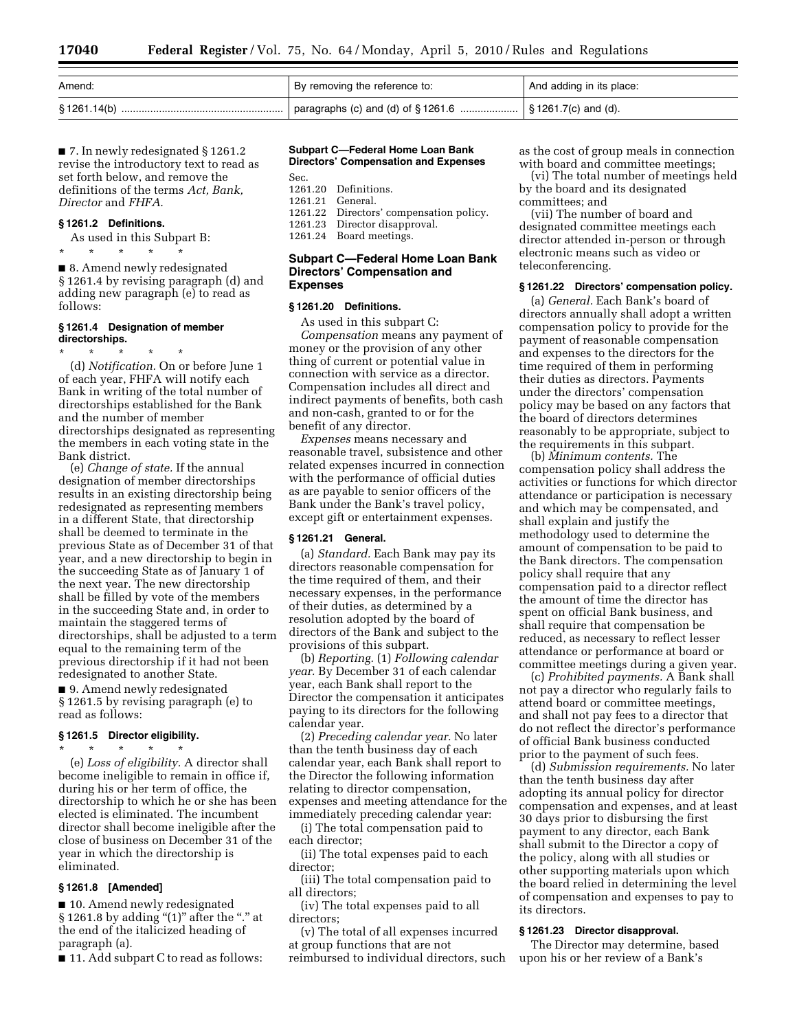| Amend: | By removing the reference to: | And adding in its place: |
|--------|-------------------------------|--------------------------|
|        |                               |                          |

■ 7. In newly redesignated § 1261.2 revise the introductory text to read as set forth below, and remove the definitions of the terms *Act, Bank, Director* and *FHFA*.

### **§ 1261.2 Definitions.**

As used in this Subpart B: \* \* \* \* \*

■ 8. Amend newly redesignated § 1261.4 by revising paragraph (d) and adding new paragraph (e) to read as follows:

#### **§ 1261.4 Designation of member directorships.**

\* \* \* \* \* (d) *Notification.* On or before June 1 of each year, FHFA will notify each Bank in writing of the total number of directorships established for the Bank and the number of member directorships designated as representing the members in each voting state in the Bank district.

(e) *Change of state.* If the annual designation of member directorships results in an existing directorship being redesignated as representing members in a different State, that directorship shall be deemed to terminate in the previous State as of December 31 of that year, and a new directorship to begin in the succeeding State as of January 1 of the next year. The new directorship shall be filled by vote of the members in the succeeding State and, in order to maintain the staggered terms of directorships, shall be adjusted to a term equal to the remaining term of the previous directorship if it had not been redesignated to another State. ■ 9. Amend newly redesignated § 1261.5 by revising paragraph (e) to

# **§ 1261.5 Director eligibility.**

read as follows:

\* \* \* \* \* (e) *Loss of eligibility.* A director shall become ineligible to remain in office if, during his or her term of office, the directorship to which he or she has been elected is eliminated. The incumbent director shall become ineligible after the close of business on December 31 of the year in which the directorship is eliminated.

### **§ 1261.8 [Amended]**

■ 10. Amend newly redesignated § 1261.8 by adding " $(1)$ " after the "." at the end of the italicized heading of paragraph (a).

■ 11. Add subpart C to read as follows:

# **Subpart C—Federal Home Loan Bank Directors' Compensation and Expenses**

| 1261.20 Definitions.                    |  |
|-----------------------------------------|--|
| 1261.21 General.                        |  |
| 1261.22 Directors' compensation policy. |  |
| 1261.23 Director disapproval.           |  |
| 1261.24 Board meetings.                 |  |
|                                         |  |

#### **Subpart C—Federal Home Loan Bank Directors' Compensation and Expenses**

### **§ 1261.20 Definitions.**

As used in this subpart C: *Compensation* means any payment of money or the provision of any other thing of current or potential value in connection with service as a director. Compensation includes all direct and indirect payments of benefits, both cash and non-cash, granted to or for the benefit of any director.

*Expenses* means necessary and reasonable travel, subsistence and other related expenses incurred in connection with the performance of official duties as are payable to senior officers of the Bank under the Bank's travel policy, except gift or entertainment expenses.

#### **§ 1261.21 General.**

(a) *Standard.* Each Bank may pay its directors reasonable compensation for the time required of them, and their necessary expenses, in the performance of their duties, as determined by a resolution adopted by the board of directors of the Bank and subject to the provisions of this subpart.

(b) *Reporting.* (1) *Following calendar year.* By December 31 of each calendar year, each Bank shall report to the Director the compensation it anticipates paying to its directors for the following calendar year.

(2) *Preceding calendar year.* No later than the tenth business day of each calendar year, each Bank shall report to the Director the following information relating to director compensation, expenses and meeting attendance for the immediately preceding calendar year:

(i) The total compensation paid to each director;

(ii) The total expenses paid to each director;

(iii) The total compensation paid to all directors;

(iv) The total expenses paid to all directors;

(v) The total of all expenses incurred at group functions that are not reimbursed to individual directors, such as the cost of group meals in connection with board and committee meetings;

(vi) The total number of meetings held by the board and its designated committees; and

(vii) The number of board and designated committee meetings each director attended in-person or through electronic means such as video or teleconferencing.

#### **§ 1261.22 Directors' compensation policy.**

(a) *General.* Each Bank's board of directors annually shall adopt a written compensation policy to provide for the payment of reasonable compensation and expenses to the directors for the time required of them in performing their duties as directors. Payments under the directors' compensation policy may be based on any factors that the board of directors determines reasonably to be appropriate, subject to the requirements in this subpart.

(b) *Minimum contents.* The compensation policy shall address the activities or functions for which director attendance or participation is necessary and which may be compensated, and shall explain and justify the methodology used to determine the amount of compensation to be paid to the Bank directors. The compensation policy shall require that any compensation paid to a director reflect the amount of time the director has spent on official Bank business, and shall require that compensation be reduced, as necessary to reflect lesser attendance or performance at board or committee meetings during a given year.

(c) *Prohibited payments.* A Bank shall not pay a director who regularly fails to attend board or committee meetings, and shall not pay fees to a director that do not reflect the director's performance of official Bank business conducted prior to the payment of such fees.

(d) *Submission requirements.* No later than the tenth business day after adopting its annual policy for director compensation and expenses, and at least 30 days prior to disbursing the first payment to any director, each Bank shall submit to the Director a copy of the policy, along with all studies or other supporting materials upon which the board relied in determining the level of compensation and expenses to pay to its directors.

# **§ 1261.23 Director disapproval.**

The Director may determine, based upon his or her review of a Bank's